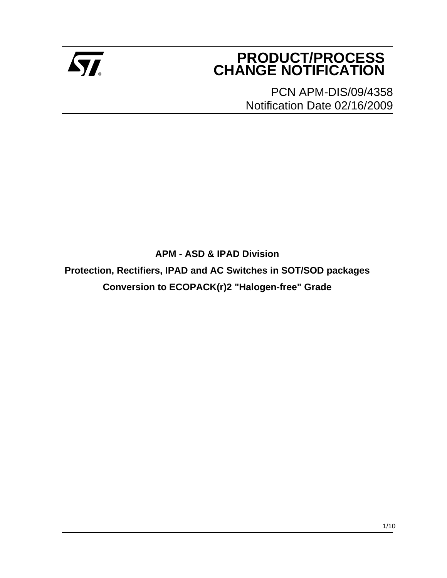

# **PRODUCT/PROCESS Example 2** CHANGE NOTIFICATION

PCN APM-DIS/09/4358 Notification Date 02/16/2009

**APM - ASD & IPAD Division**

**Protection, Rectifiers, IPAD and AC Switches in SOT/SOD packages Conversion to ECOPACK(r)2 "Halogen-free" Grade**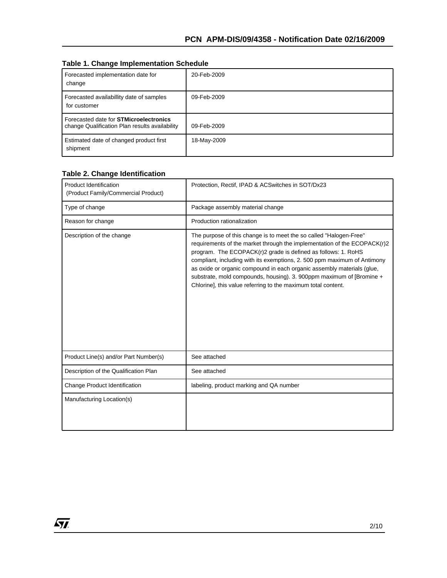|  |  | <b>Table 1. Change Implementation Schedule</b> |  |
|--|--|------------------------------------------------|--|
|--|--|------------------------------------------------|--|

| Forecasted implementation date for<br>change                                                    | 20-Feb-2009 |
|-------------------------------------------------------------------------------------------------|-------------|
| Forecasted availabillity date of samples<br>for customer                                        | 09-Feb-2009 |
| Forecasted date for <b>STMicroelectronics</b><br>change Qualification Plan results availability | 09-Feb-2009 |
| Estimated date of changed product first<br>shipment                                             | 18-May-2009 |

#### **Table 2. Change Identification**

| <b>Product Identification</b><br>(Product Family/Commercial Product) | Protection, Rectif, IPAD & ACSwitches in SOT/Dx23                                                                                                                                                                                                                                                                                                                                                                                                                                                             |  |
|----------------------------------------------------------------------|---------------------------------------------------------------------------------------------------------------------------------------------------------------------------------------------------------------------------------------------------------------------------------------------------------------------------------------------------------------------------------------------------------------------------------------------------------------------------------------------------------------|--|
| Type of change                                                       | Package assembly material change                                                                                                                                                                                                                                                                                                                                                                                                                                                                              |  |
| Reason for change                                                    | Production rationalization                                                                                                                                                                                                                                                                                                                                                                                                                                                                                    |  |
| Description of the change                                            | The purpose of this change is to meet the so called "Halogen-Free"<br>requirements of the market through the implementation of the ECOPACK(r)2<br>program. The ECOPACK(r)2 grade is defined as follows: 1. RoHS<br>compliant, including with its exemptions, 2.500 ppm maximum of Antimony<br>as oxide or organic compound in each organic assembly materials (glue,<br>substrate, mold compounds, housing). 3. 900ppm maximum of [Bromine +<br>Chlorine], this value referring to the maximum total content. |  |
| Product Line(s) and/or Part Number(s)                                | See attached                                                                                                                                                                                                                                                                                                                                                                                                                                                                                                  |  |
| Description of the Qualification Plan                                | See attached                                                                                                                                                                                                                                                                                                                                                                                                                                                                                                  |  |
| Change Product Identification                                        | labeling, product marking and QA number                                                                                                                                                                                                                                                                                                                                                                                                                                                                       |  |
| Manufacturing Location(s)                                            |                                                                                                                                                                                                                                                                                                                                                                                                                                                                                                               |  |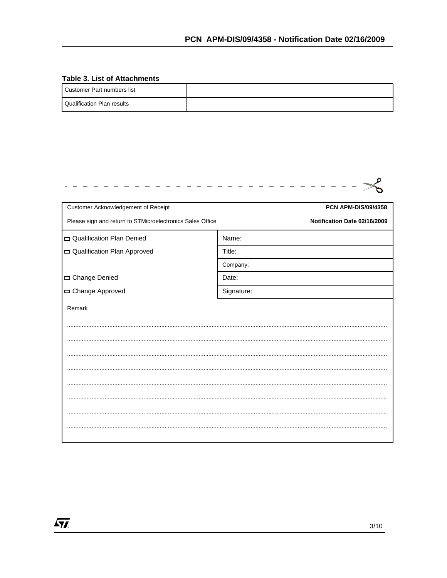#### **Table 3. List of Attachments**

 $\sqrt{M}$ 

| I Customer Part numbers list |  |
|------------------------------|--|
| l Qualification Plan results |  |

| Customer Acknowledgement of Receipt                       | <b>PCN APM-DIS/09/4358</b>   |
|-----------------------------------------------------------|------------------------------|
| Please sign and return to STMicroelectronics Sales Office | Notification Date 02/16/2009 |
| Qualification Plan Denied                                 | Name:                        |
| Qualification Plan Approved                               | Title:                       |
|                                                           | Company:                     |
| Change Denied                                             | Date:                        |
| Change Approved                                           | Signature:                   |
| Remark                                                    |                              |
|                                                           |                              |
|                                                           |                              |
|                                                           |                              |
|                                                           |                              |
|                                                           |                              |
|                                                           |                              |
|                                                           |                              |
|                                                           |                              |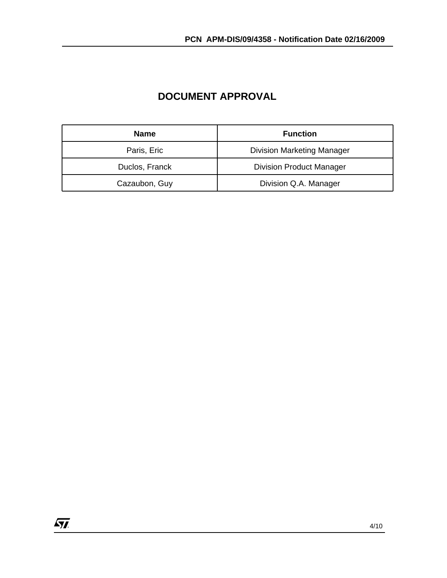| <b>Name</b>    | <b>Function</b>                   |
|----------------|-----------------------------------|
| Paris, Eric    | <b>Division Marketing Manager</b> |
| Duclos, Franck | <b>Division Product Manager</b>   |
| Cazaubon, Guy  | Division Q.A. Manager             |

### **DOCUMENT APPROVAL**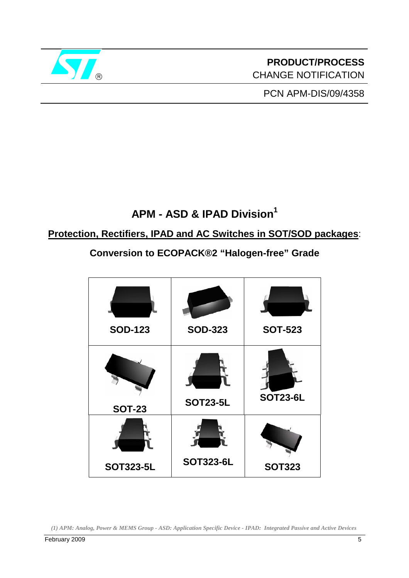

# **PRODUCT/PROCESS** CHANGE NOTIFICATION

PCN APM-DIS/09/4358

# **APM - ASD & IPAD Division1**

## **Protection, Rectifiers, IPAD and AC Switches in SOT/SOD packages**:

**Conversion to ECOPACK®2 "Halogen-free" Grade** 

| <b>SOD-123</b>   | <b>SOD-323</b>   | <b>SOT-523</b>  |
|------------------|------------------|-----------------|
| <b>SOT-23</b>    | <b>SOT23-5L</b>  | <b>SOT23-6L</b> |
| <b>SOT323-5L</b> | <b>SOT323-6L</b> | <b>SOT323</b>   |

*(1) APM: Analog, Power & MEMS Group - ASD: Application Specific Device - IPAD: Integrated Passive and Active Devices*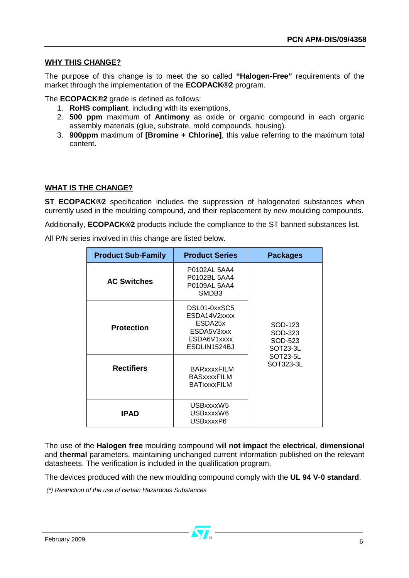#### **WHY THIS CHANGE?**

The purpose of this change is to meet the so called **"Halogen-Free"** requirements of the market through the implementation of the **ECOPACK®2** program.

The **ECOPACK®2** grade is defined as follows:

- 1. **RoHS compliant**, including with its exemptions,
- 2. **500 ppm** maximum of **Antimony** as oxide or organic compound in each organic assembly materials (glue, substrate, mold compounds, housing).
- 3. **900ppm** maximum of **[Bromine + Chlorine]**, this value referring to the maximum total content.

#### **WHAT IS THE CHANGE?**

**ST ECOPACK®2** specification includes the suppression of halogenated substances when currently used in the moulding compound, and their replacement by new moulding compounds.

Additionally, **ECOPACK®2** products include the compliance to the ST banned substances list.

All P/N series involved in this change are listed below.

| <b>Product Sub-Family</b> | <b>Product Series</b>                                                                | <b>Packages</b>                           |
|---------------------------|--------------------------------------------------------------------------------------|-------------------------------------------|
| <b>AC Switches</b>        | P0102AL 5AA4<br>P0102BL 5AA4<br>P0109AL 5AA4<br>SMDB <sub>3</sub>                    |                                           |
| <b>Protection</b>         | DSL01-0xxSC5<br>ESDA14V2xxxx<br>ESDA25x<br>ESDA5V3xxx<br>ESDA6V1xxxx<br>ESDLIN1524BJ | SOD-123<br>SOD-323<br>SOD-523<br>SOT23-3L |
| <b>Rectifiers</b>         | <b>BARxxxxFILM</b><br><b>BASxxxxFILM</b><br><b>BATxxxxFILM</b>                       | SOT23-5L<br>SOT323-3L                     |
| <b>IPAD</b>               | USBxxxxW5<br>USBxxxxW6<br>USBxxxxP6                                                  |                                           |

The use of the **Halogen free** moulding compound will **not impact** the **electrical**, **dimensional** and **thermal** parameters, maintaining unchanged current information published on the relevant datasheets. The verification is included in the qualification program.

The devices produced with the new moulding compound comply with the **UL 94 V-0 standard**.

 *(\*) Restriction of the use of certain Hazardous Substances*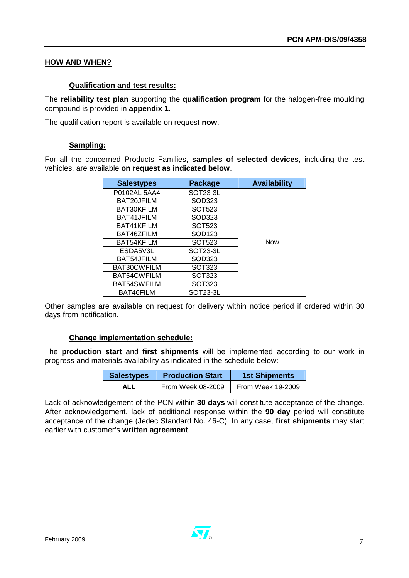#### **HOW AND WHEN?**

#### **Qualification and test results:**

The **reliability test plan** supporting the **qualification program** for the halogen-free moulding compound is provided in **appendix 1**.

The qualification report is available on request **now**.

#### **Sampling:**

For all the concerned Products Families, **samples of selected devices**, including the test vehicles, are available **on request as indicated below**.

| <b>Salestypes</b> | Package               | <b>Availability</b> |
|-------------------|-----------------------|---------------------|
| P0102AL 5AA4      | SOT <sub>23</sub> -3L |                     |
| BAT20JFILM        | SOD323                |                     |
| BAT30KFILM        | SOT523                |                     |
| BAT41JFILM        | SOD323                |                     |
| BAT41KFILM        | SOT523                |                     |
| BAT46ZFILM        | SOD123                |                     |
| BAT54KFILM        | SOT523                | <b>Now</b>          |
| ESDA5V3L          | SOT <sub>23</sub> -3L |                     |
| BAT54JFILM        | SOD323                |                     |
| BAT30CWFILM       | SOT323                |                     |
| BAT54CWFILM       | SOT323                |                     |
| BAT54SWFILM       | SOT323                |                     |
| BAT46FILM         | SOT23-3L              |                     |

Other samples are available on request for delivery within notice period if ordered within 30 days from notification.

#### **Change implementation schedule:**

The **production start** and **first shipments** will be implemented according to our work in progress and materials availability as indicated in the schedule below:

| <b>Salestypes</b> | <b>Production Start</b> | <b>1st Shipments</b> |  |  |
|-------------------|-------------------------|----------------------|--|--|
| ALL               | From Week 08-2009       | From Week 19-2009    |  |  |

Lack of acknowledgement of the PCN within **30 days** will constitute acceptance of the change. After acknowledgement, lack of additional response within the **90 day** period will constitute acceptance of the change (Jedec Standard No. 46-C). In any case, **first shipments** may start earlier with customer's **written agreement**.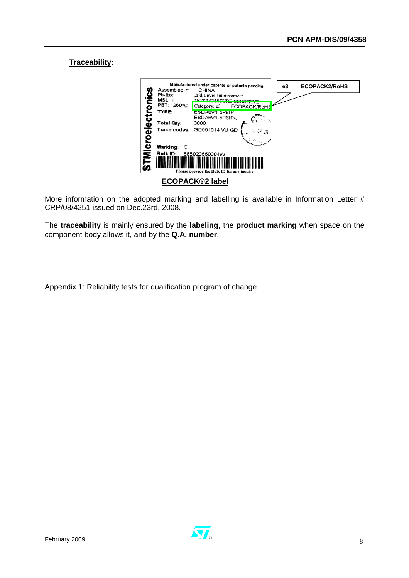#### **Traceability:**



More information on the adopted marking and labelling is available in Information Letter # CRP/08/4251 issued on Dec.23rd, 2008.

The **traceability** is mainly ensured by the **labeling,** the **product marking** when space on the component body allows it, and by the **Q.A. number**.

Appendix 1: Reliability tests for qualification program of change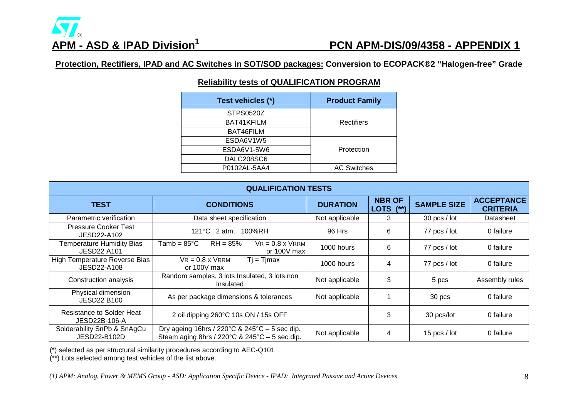# ®

## **APM - ASD & IPAD Division1 PCN APM-DIS/09/4358 - APPENDIX 1**

**Protection, Rectifiers, IPAD and AC Switches in SOT/SOD packages: Conversion to ECOPACK®2 "Halogen-free" Grade**

#### **Reliability tests of QUALIFICATION PROGRAM**

| Test vehicles (*) | <b>Product Family</b> |
|-------------------|-----------------------|
| <b>STPS0520Z</b>  |                       |
| BAT41KFILM        | Rectifiers            |
| BAT46FILM         |                       |
| ESDA6V1W5         |                       |
| ESDA6V1-5W6       | Protection            |
| DALC208SC6        |                       |
| P0102AL-5AA4      | <b>AC Switches</b>    |

| <b>QUALIFICATION TESTS</b>                             |                                                                                                                                        |                 |                            |                    |                                      |
|--------------------------------------------------------|----------------------------------------------------------------------------------------------------------------------------------------|-----------------|----------------------------|--------------------|--------------------------------------|
| <b>TEST</b>                                            | <b>CONDITIONS</b>                                                                                                                      | <b>DURATION</b> | <b>NBR OF</b><br>LOTS (**) | <b>SAMPLE SIZE</b> | <b>ACCEPTANCE</b><br><b>CRITERIA</b> |
| Parametric verification                                | Data sheet specification                                                                                                               | Not applicable  | 3                          | $30$ pcs / lot     | Datasheet                            |
| <b>Pressure Cooker Test</b><br>JESD22-A102             | 121°C 2 atm. 100%RH                                                                                                                    | 96 Hrs          | 6                          | 77 pcs / lot       | 0 failure                            |
| <b>Temperature Humidity Bias</b><br><b>JESD22 A101</b> | $VR = 0.8 \times V$ RRM<br>$Tamb = 85^{\circ}C$<br>$RH = 85%$<br>or 100V max                                                           | 1000 hours      | 6                          | 77 pcs / lot       | 0 failure                            |
| High Temperature Reverse Bias<br>JESD22-A108           | $VR = 0.8 \times VRRM$<br>$Tj = Tjmax$<br>or 100V max                                                                                  | 1000 hours      | 4                          | 77 pcs / lot       | 0 failure                            |
| Construction analysis                                  | Random samples, 3 lots Insulated, 3 lots non<br>Insulated                                                                              | Not applicable  | 3                          | 5 pcs              | Assembly rules                       |
| Physical dimension<br><b>JESD22 B100</b>               | As per package dimensions & tolerances                                                                                                 | Not applicable  |                            | 30 pcs             | 0 failure                            |
| Resistance to Solder Heat<br>JESD22B-106-A             | 2 oil dipping 260°C 10s ON / 15s OFF                                                                                                   |                 | 3                          | 30 pcs/lot         | 0 failure                            |
| Solderability SnPb & SnAgCu<br>JESD22-B102D            | Dry ageing 16hrs / 220 $\degree$ C & 245 $\degree$ C – 5 sec dip.<br>Steam aging 8hrs / 220 $\degree$ C & 245 $\degree$ C – 5 sec dip. | Not applicable  | 4                          | 15 $pcs / lot$     | 0 failure                            |

(\*) selected as per structural similarity procedures according to AEC-Q101

(\*\*) Lots selected among test vehicles of the list above.

*(1) APM: Analog, Power & MEMS Group - ASD: Application Specific Device - IPAD: Integrated Passive and Active Devices* 8